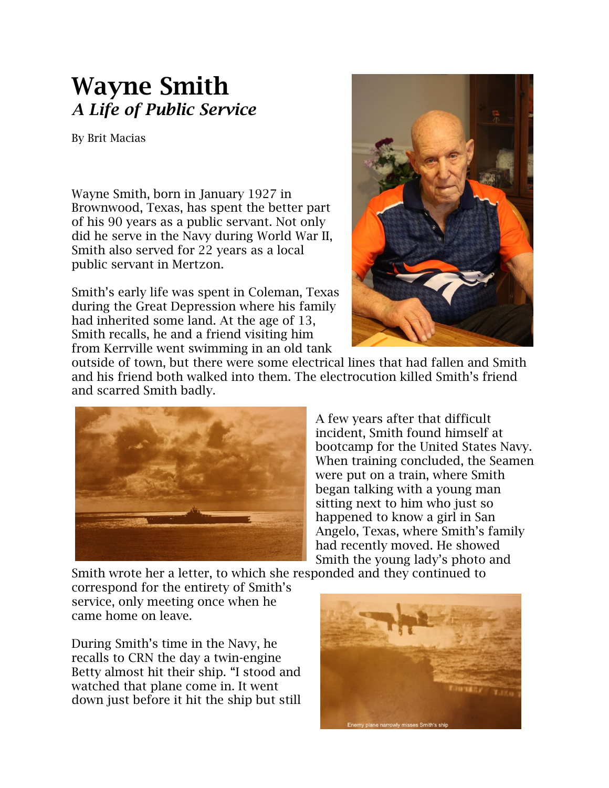## **Wayne Smith** *A Life of Public Service*

By Brit Macias

Wayne Smith, born in January 1927 in Brownwood, Texas, has spent the better part of his 90 years as a public servant. Not only did he serve in the Navy during World War II, Smith also served for 22 years as a local public servant in Mertzon.

Smith's early life was spent in Coleman, Texas during the Great Depression where his family had inherited some land. At the age of 13, Smith recalls, he and a friend visiting him from Kerrville went swimming in an old tank



outside of town, but there were some electrical lines that had fallen and Smith and his friend both walked into them. The electrocution killed Smith's friend and scarred Smith badly.



A few years after that difficult incident, Smith found himself at bootcamp for the United States Navy. When training concluded, the Seamen were put on a train, where Smith began talking with a young man sitting next to him who just so happened to know a girl in San Angelo, Texas, where Smith's family had recently moved. He showed Smith the young lady's photo and

Smith wrote her a letter, to which she responded and they continued to

correspond for the entirety of Smith's service, only meeting once when he came home on leave.

During Smith's time in the Navy, he recalls to CRN the day a twin-engine Betty almost hit their ship. "I stood and watched that plane come in. It went down just before it hit the ship but still

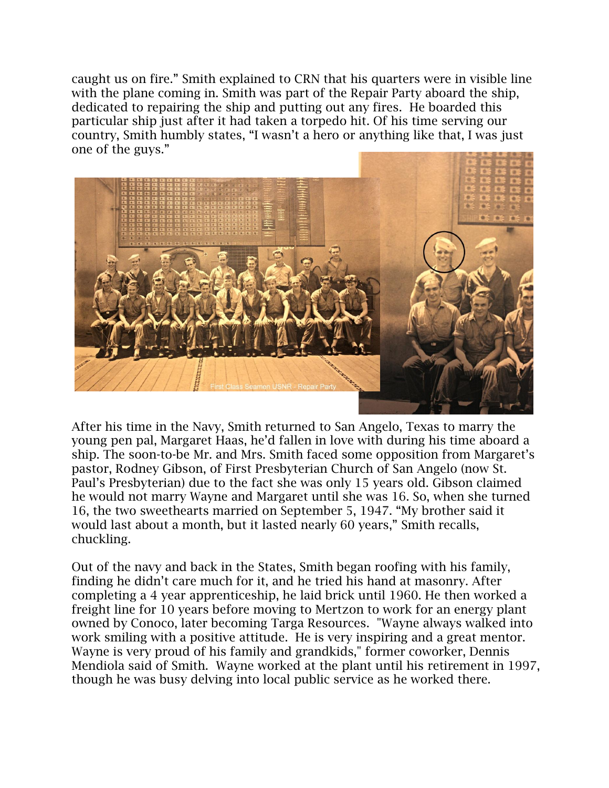caught us on fire." Smith explained to CRN that his quarters were in visible line with the plane coming in. Smith was part of the Repair Party aboard the ship, dedicated to repairing the ship and putting out any fires. He boarded this particular ship just after it had taken a torpedo hit. Of his time serving our country, Smith humbly states, "I wasn't a hero or anything like that, I was just one of the guys."



After his time in the Navy, Smith returned to San Angelo, Texas to marry the young pen pal, Margaret Haas, he'd fallen in love with during his time aboard a ship. The soon-to-be Mr. and Mrs. Smith faced some opposition from Margaret's pastor, Rodney Gibson, of First Presbyterian Church of San Angelo (now St. Paul's Presbyterian) due to the fact she was only 15 years old. Gibson claimed he would not marry Wayne and Margaret until she was 16. So, when she turned 16, the two sweethearts married on September 5, 1947. "My brother said it would last about a month, but it lasted nearly 60 years," Smith recalls, chuckling.

Out of the navy and back in the States, Smith began roofing with his family, finding he didn't care much for it, and he tried his hand at masonry. After completing a 4 year apprenticeship, he laid brick until 1960. He then worked a freight line for 10 years before moving to Mertzon to work for an energy plant owned by Conoco, later becoming Targa Resources. "Wayne always walked into work smiling with a positive attitude. He is very inspiring and a great mentor. Wayne is very proud of his family and grandkids," former coworker, Dennis Mendiola said of Smith. Wayne worked at the plant until his retirement in 1997, though he was busy delving into local public service as he worked there.